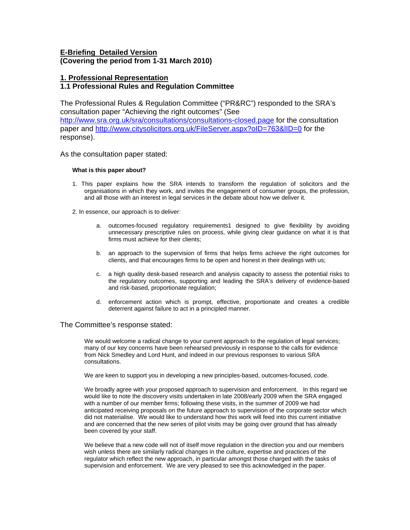# **E-Briefing Detailed Version (Covering the period from 1-31 March 2010)**

## **1. Professional Representation**

# **1.1 Professional Rules and Regulation Committee**

The Professional Rules & Regulation Committee ("PR&RC") responded to the SRA's consultation paper "Achieving the right outcomes" (See

<http://www.sra.org.uk/sra/consultations/consultations-closed.page>for the consultation paper and <http://www.citysolicitors.org.uk/FileServer.aspx?oID=763&lID=0>for the response).

As the consultation paper stated:

### **What is this paper about?**

- 1. This paper explains how the SRA intends to transform the regulation of solicitors and the organisations in which they work, and invites the engagement of consumer groups, the profession, and all those with an interest in legal services in the debate about how we deliver it.
- 2. In essence, our approach is to deliver:
	- a. outcomes-focused regulatory requirements1 designed to give flexibility by avoiding unnecessary prescriptive rules on process, while giving clear guidance on what it is that firms must achieve for their clients;
	- b. an approach to the supervision of firms that helps firms achieve the right outcomes for clients, and that encourages firms to be open and honest in their dealings with us;
	- c. a high quality desk-based research and analysis capacity to assess the potential risks to the regulatory outcomes, supporting and leading the SRA's delivery of evidence-based and risk-based, proportionate regulation;
	- d. enforcement action which is prompt, effective, proportionate and creates a credible deterrent against failure to act in a principled manner.

### The Committee's response stated:

We would welcome a radical change to your current approach to the regulation of legal services; many of our key concerns have been rehearsed previously in response to the calls for evidence from Nick Smedley and Lord Hunt, and indeed in our previous responses to various SRA consultations.

We are keen to support you in developing a new principles-based, outcomes-focused, code.

We broadly agree with your proposed approach to supervision and enforcement. In this regard we would like to note the discovery visits undertaken in late 2008/early 2009 when the SRA engaged with a number of our member firms; following these visits, in the summer of 2009 we had anticipated receiving proposals on the future approach to supervision of the corporate sector which did not materialise. We would like to understand how this work will feed into this current initiative and are concerned that the new series of pilot visits may be going over ground that has already been covered by your staff.

We believe that a new code will not of itself move regulation in the direction you and our members wish unless there are similarly radical changes in the culture, expertise and practices of the regulator which reflect the new approach, in particular amongst those charged with the tasks of supervision and enforcement. We are very pleased to see this acknowledged in the paper.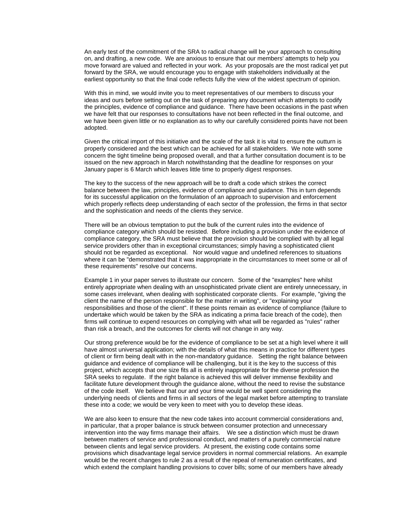An early test of the commitment of the SRA to radical change will be your approach to consulting on, and drafting, a new code. We are anxious to ensure that our members' attempts to help you move forward are valued and reflected in your work. As your proposals are the most radical yet put forward by the SRA, we would encourage you to engage with stakeholders individually at the earliest opportunity so that the final code reflects fully the view of the widest spectrum of opinion.

With this in mind, we would invite you to meet representatives of our members to discuss your ideas and ours before setting out on the task of preparing any document which attempts to codify the principles, evidence of compliance and guidance. There have been occasions in the past when we have felt that our responses to consultations have not been reflected in the final outcome, and we have been given little or no explanation as to why our carefully considered points have not been adopted.

Given the critical import of this initiative and the scale of the task it is vital to ensure the outturn is properly considered and the best which can be achieved for all stakeholders. We note with some concern the tight timeline being proposed overall, and that a further consultation document is to be issued on the new approach in March notwithstanding that the deadline for responses on your January paper is 6 March which leaves little time to properly digest responses.

The key to the success of the new approach will be to draft a code which strikes the correct balance between the law, principles, evidence of compliance and guidance. This in turn depends for its successful application on the formulation of an approach to supervision and enforcement which properly reflects deep understanding of each sector of the profession, the firms in that sector and the sophistication and needs of the clients they service.

There will be an obvious temptation to put the bulk of the current rules into the evidence of compliance category which should be resisted. Before including a provision under the evidence of compliance category, the SRA must believe that the provision should be complied with by all legal service providers other than in exceptional circumstances; simply having a sophisticated client should not be regarded as exceptional. Nor would vague and undefined references to situations where it can be "demonstrated that it was inappropriate in the circumstances to meet some or all of these requirements" resolve our concerns.

Example 1 in your paper serves to illustrate our concern. Some of the "examples" here whilst entirely appropriate when dealing with an unsophisticated private client are entirely unnecessary, in some cases irrelevant, when dealing with sophisticated corporate clients. For example, "giving the client the name of the person responsible for the matter in writing", or "explaining your responsibilities and those of the client". If these points remain as evidence of compliance (failure to undertake which would be taken by the SRA as indicating a prima facie breach of the code), then firms will continue to expend resources on complying with what will be regarded as "rules" rather than risk a breach, and the outcomes for clients will not change in any way.

Our strong preference would be for the evidence of compliance to be set at a high level where it will have almost universal application; with the details of what this means in practice for different types of client or firm being dealt with in the non-mandatory guidance. Setting the right balance between guidance and evidence of compliance will be challenging, but it is the key to the success of this project, which accepts that one size fits all is entirely inappropriate for the diverse profession the SRA seeks to regulate. If the right balance is achieved this will deliver immense flexibility and facilitate future development through the guidance alone, without the need to revise the substance of the code itself. We believe that our and your time would be well spent considering the underlying needs of clients and firms in all sectors of the legal market before attempting to translate these into a code; we would be very keen to meet with you to develop these ideas.

We are also keen to ensure that the new code takes into account commercial considerations and, in particular, that a proper balance is struck between consumer protection and unnecessary intervention into the way firms manage their affairs. We see a distinction which must be drawn between matters of service and professional conduct, and matters of a purely commercial nature between clients and legal service providers. At present, the existing code contains some provisions which disadvantage legal service providers in normal commercial relations. An example would be the recent changes to rule 2 as a result of the repeal of remuneration certificates, and which extend the complaint handling provisions to cover bills; some of our members have already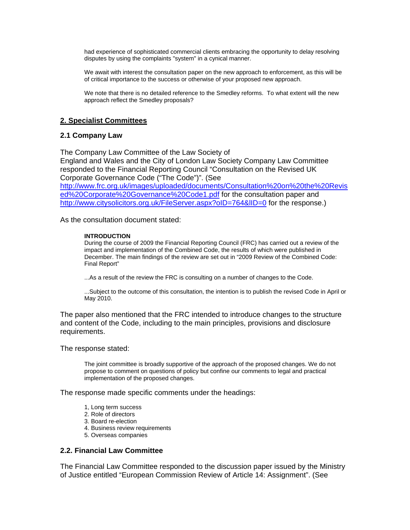had experience of sophisticated commercial clients embracing the opportunity to delay resolving disputes by using the complaints "system" in a cynical manner.

We await with interest the consultation paper on the new approach to enforcement, as this will be of critical importance to the success or otherwise of your proposed new approach.

We note that there is no detailed reference to the Smedley reforms. To what extent will the new approach reflect the Smedley proposals?

## **2. Specialist Committees**

## **2.1 Company Law**

The Company Law Committee of the Law Society of England and Wales and the City of London Law Society Company Law Committee responded to the Financial Reporting Council "Consultation on the Revised UK Corporate Governance Code ("The Code")". (See [http://www.frc.org.uk/images/uploaded/documents/Consultation%20on%20the%20Revis](http://www.frc.org.uk/images/uploaded/documents/Consultation on the Revised Corporate Governance Code1.pdf) [ed%20Corporate%20Governance%20Code1.pdf](http://www.frc.org.uk/images/uploaded/documents/Consultation on the Revised Corporate Governance Code1.pdf) for the consultation paper and <http://www.citysolicitors.org.uk/FileServer.aspx?oID=764&lID=0> for the response.)

As the consultation document stated:

### **INTRODUCTION**

During the course of 2009 the Financial Reporting Council (FRC) has carried out a review of the impact and implementation of the Combined Code, the results of which were published in December. The main findings of the review are set out in "2009 Review of the Combined Code: Final Report"

...As a result of the review the FRC is consulting on a number of changes to the Code.

...Subject to the outcome of this consultation, the intention is to publish the revised Code in April or May 2010.

The paper also mentioned that the FRC intended to introduce changes to the structure and content of the Code, including to the main principles, provisions and disclosure requirements.

The response stated:

The joint committee is broadly supportive of the approach of the proposed changes. We do not propose to comment on questions of policy but confine our comments to legal and practical implementation of the proposed changes.

The response made specific comments under the headings:

- 1, Long term success
- 2. Role of directors
- 3. Board re-election
- 4. Business review requirements
- 5. Overseas companies

### **2.2. Financial Law Committee**

The Financial Law Committee responded to the discussion paper issued by the Ministry of Justice entitled "European Commission Review of Article 14: Assignment". (See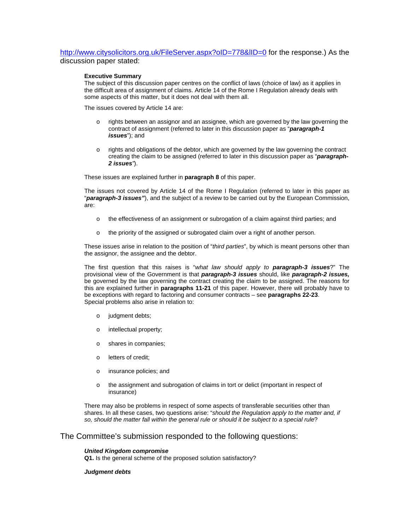<http://www.citysolicitors.org.uk/FileServer.aspx?oID=778&lID=0> for the response.) As the discussion paper stated:

#### **Executive Summary**

The subject of this discussion paper centres on the conflict of laws (choice of law) as it applies in the difficult area of assignment of claims. Article 14 of the Rome I Regulation already deals with some aspects of this matter, but it does not deal with them all.

The issues covered by Article 14 are:

- rights between an assignor and an assignee, which are governed by the law governing the contract of assignment (referred to later in this discussion paper as "*paragraph-1 issues*"); and
- $\circ$  rights and obligations of the debtor, which are governed by the law governing the contract creating the claim to be assigned (referred to later in this discussion paper as "*paragraph-2 issues"*).

These issues are explained further in **paragraph 8** of this paper.

The issues not covered by Article 14 of the Rome I Regulation (referred to later in this paper as "*paragraph-3 issues"*), and the subject of a review to be carried out by the European Commission, are:

- o the effectiveness of an assignment or subrogation of a claim against third parties; and
- o the priority of the assigned or subrogated claim over a right of another person.

These issues arise in relation to the position of "*third parties*", by which is meant persons other than the assignor, the assignee and the debtor.

The first question that this raises is "*what law should apply to paragraph-3 issues*?" The provisional view of the Government is that *paragraph-3 issues* should, like *paragraph-2 issues,*  be governed by the law governing the contract creating the claim to be assigned. The reasons for this are explained further in **paragraphs 11-21** of this paper. However, there will probably have to be exceptions with regard to factoring and consumer contracts – see **paragraphs 22-23**. Special problems also arise in relation to:

- o judgment debts;
- o intellectual property;
- o shares in companies;
- o letters of credit;
- o insurance policies; and
- o the assignment and subrogation of claims in tort or delict (important in respect of insurance)

There may also be problems in respect of some aspects of transferable securities other than shares. In all these cases, two questions arise: "*should the Regulation apply to the matter and, if so, should the matter fall within the general rule or should it be subject to a special rule*?

### The Committee's submission responded to the following questions:

#### *United Kingdom compromise*

**Q1.** Is the general scheme of the proposed solution satisfactory?

#### *Judgment debts*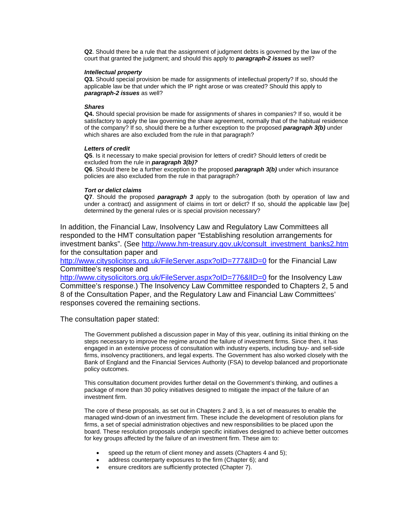**Q2**. Should there be a rule that the assignment of judgment debts is governed by the law of the court that granted the judgment; and should this apply to *paragraph-2 issues* as well?

#### *Intellectual property*

**Q3.** Should special provision be made for assignments of intellectual property? If so, should the applicable law be that under which the IP right arose or was created? Should this apply to *paragraph-2 issues* as well?

#### *Shares*

**Q4.** Should special provision be made for assignments of shares in companies? If so, would it be satisfactory to apply the law governing the share agreement, normally that of the habitual residence of the company? If so, should there be a further exception to the proposed *paragraph 3(b)* under which shares are also excluded from the rule in that paragraph?

#### *Letters of credit*

**Q5**. Is it necessary to make special provision for letters of credit? Should letters of credit be excluded from the rule in *paragraph 3(b)?* 

**Q6**. Should there be a further exception to the proposed *paragraph 3(b)* under which insurance policies are also excluded from the rule in that paragraph?

#### *Tort or delict claims*

**Q7**. Should the proposed *paragraph 3* apply to the subrogation (both by operation of law and under a contract) and assignment of claims in tort or delict? If so, should the applicable law [be] determined by the general rules or is special provision necessary?

In addition, the Financial Law, Insolvency Law and Regulatory Law Committees all responded to the HMT consultation paper "Establishing resolution arrangements for investment banks". (See [http://www.hm-treasury.gov.uk/consult\\_investment\\_banks2.htm](http://www.hm-treasury.gov.uk/consult_investment_banks2.htm) for the consultation paper and

<http://www.citysolicitors.org.uk/FileServer.aspx?oID=777&lID=0> for the Financial Law Committee's response and

<http://www.citysolicitors.org.uk/FileServer.aspx?oID=776&lID=0> for the Insolvency Law Committee's response.) The Insolvency Law Committee responded to Chapters 2, 5 and 8 of the Consultation Paper, and the Regulatory Law and Financial Law Committees' responses covered the remaining sections.

The consultation paper stated:

The Government published a discussion paper in May of this year, outlining its initial thinking on the steps necessary to improve the regime around the failure of investment firms. Since then, it has engaged in an extensive process of consultation with industry experts, including buy- and sell-side firms, insolvency practitioners, and legal experts. The Government has also worked closely with the Bank of England and the Financial Services Authority (FSA) to develop balanced and proportionate policy outcomes.

This consultation document provides further detail on the Government's thinking, and outlines a package of more than 30 policy initiatives designed to mitigate the impact of the failure of an investment firm.

The core of these proposals, as set out in Chapters 2 and 3, is a set of measures to enable the managed wind-down of an investment firm. These include the development of resolution plans for firms, a set of special administration objectives and new responsibilities to be placed upon the board. These resolution proposals underpin specific initiatives designed to achieve better outcomes for key groups affected by the failure of an investment firm. These aim to:

- speed up the return of client money and assets (Chapters 4 and 5);
- address counterparty exposures to the firm (Chapter 6); and
- ensure creditors are sufficiently protected (Chapter 7).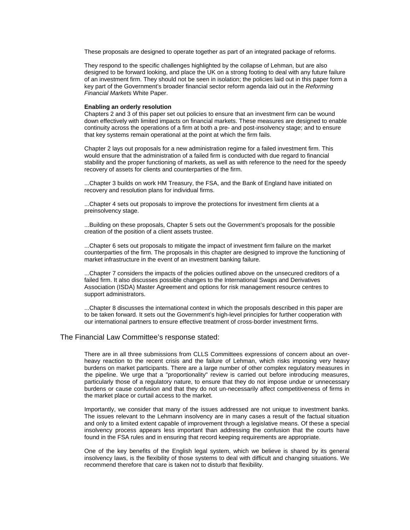These proposals are designed to operate together as part of an integrated package of reforms.

They respond to the specific challenges highlighted by the collapse of Lehman, but are also designed to be forward looking, and place the UK on a strong footing to deal with any future failure of an investment firm. They should not be seen in isolation; the policies laid out in this paper form a key part of the Government's broader financial sector reform agenda laid out in the *Reforming Financial Markets* White Paper.

#### **Enabling an orderly resolution**

Chapters 2 and 3 of this paper set out policies to ensure that an investment firm can be wound down effectively with limited impacts on financial markets. These measures are designed to enable continuity across the operations of a firm at both a pre- and post-insolvency stage; and to ensure that key systems remain operational at the point at which the firm fails.

Chapter 2 lays out proposals for a new administration regime for a failed investment firm. This would ensure that the administration of a failed firm is conducted with due regard to financial stability and the proper functioning of markets, as well as with reference to the need for the speedy recovery of assets for clients and counterparties of the firm.

...Chapter 3 builds on work HM Treasury, the FSA, and the Bank of England have initiated on recovery and resolution plans for individual firms.

...Chapter 4 sets out proposals to improve the protections for investment firm clients at a preinsolvency stage.

...Building on these proposals, Chapter 5 sets out the Government's proposals for the possible creation of the position of a client assets trustee.

...Chapter 6 sets out proposals to mitigate the impact of investment firm failure on the market counterparties of the firm. The proposals in this chapter are designed to improve the functioning of market infrastructure in the event of an investment banking failure.

...Chapter 7 considers the impacts of the policies outlined above on the unsecured creditors of a failed firm. It also discusses possible changes to the International Swaps and Derivatives Association (ISDA) Master Agreement and options for risk management resource centres to support administrators.

...Chapter 8 discusses the international context in which the proposals described in this paper are to be taken forward. It sets out the Government's high-level principles for further cooperation with our international partners to ensure effective treatment of cross-border investment firms.

#### The Financial Law Committee's response stated:

There are in all three submissions from CLLS Committees expressions of concern about an overheavy reaction to the recent crisis and the failure of Lehman, which risks imposing very heavy burdens on market participants. There are a large number of other complex regulatory measures in the pipeline. We urge that a "proportionality" review is carried out before introducing measures, particularly those of a regulatory nature, to ensure that they do not impose undue or unnecessary burdens or cause confusion and that they do not un-necessarily affect competitiveness of firms in the market place or curtail access to the market.

Importantly, we consider that many of the issues addressed are not unique to investment banks. The issues relevant to the Lehmann insolvency are in many cases a result of the factual situation and only to a limited extent capable of improvement through a legislative means. Of these a special insolvency process appears less important than addressing the confusion that the courts have found in the FSA rules and in ensuring that record keeping requirements are appropriate.

One of the key benefits of the English legal system, which we believe is shared by its general insolvency laws, is the flexibility of those systems to deal with difficult and changing situations. We recommend therefore that care is taken not to disturb that flexibility.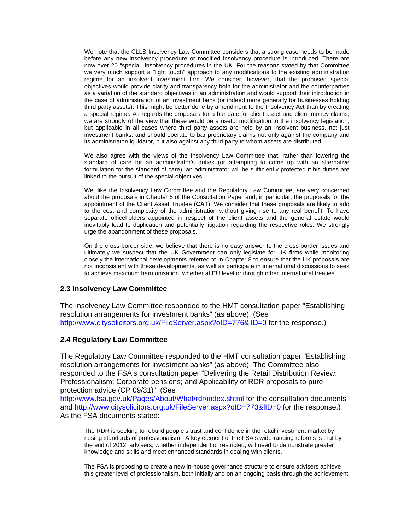We note that the CLLS Insolvency Law Committee considers that a strong case needs to be made before any new insolvency procedure or modified insolvency procedure is introduced. There are now over 20 "special" insolvency procedures in the UK. For the reasons stated by that Committee we very much support a "light touch" approach to any modifications to the existing administration regime for an insolvent investment firm. We consider, however, that the proposed special objectives would provide clarity and transparency both for the administrator and the counterparties as a variation of the standard objectives in an administration and would support their introduction in the case of administration of an investment bank (or indeed more generally for businesses holding third party assets). This might be better done by amendment to the Insolvency Act than by creating a special regime. As regards the proposals for a bar date for client asset and client money claims, we are strongly of the view that these would be a useful modification to the insolvency legislation, but applicable in all cases where third party assets are held by an insolvent business, not just investment banks, and should operate to bar proprietary claims not only against the company and its administrator/liquidator, but also against any third party to whom assets are distributed.

We also agree with the views of the Insolvency Law Committee that, rather than lowering the standard of care for an administrator's duties (or attempting to come up with an alternative formulation for the standard of care), an administrator will be sufficiently protected if his duties are linked to the pursuit of the special objectives.

We, like the Insolvency Law Committee and the Regulatory Law Committee, are very concerned about the proposals in Chapter 5 of the Consultation Paper and, in particular, the proposals for the appointment of the Client Asset Trustee (**CAT**). We consider that these proposals are likely to add to the cost and complexity of the administration without giving rise to any real benefit. To have separate officeholders appointed in respect of the client assets and the general estate would inevitably lead to duplication and potentially litigation regarding the respective roles. We strongly urge the abandonment of these proposals.

On the cross-border side, we believe that there is no easy answer to the cross-border issues and ultimately we suspect that the UK Government can only legislate for UK firms while monitoring closely the international developments referred to in Chapter 8 to ensure that the UK proposals are not inconsistent with these developments, as well as participate in international discussions to seek to achieve maximum harmonisation, whether at EU level or through other international treaties.

# **2.3 Insolvency Law Committee**

The Insolvency Law Committee responded to the HMT consultation paper "Establishing resolution arrangements for investment banks" (as above). (See http://www.citysolicitors.org.uk/FileServer.aspx?oID=776&IID=0 for the response.)

# **2.4 Regulatory Law Committee**

The Regulatory Law Committee responded to the HMT consultation paper "Establishing resolution arrangements for investment banks" (as above). The Committee also responded to the FSA's consultation paper "Delivering the Retail Distribution Review: Professionalism; Corporate pensions; and Applicability of RDR proposals to pure protection advice (CP 09/31)". (See

<http://www.fsa.gov.uk/Pages/About/What/rdr/index.shtml> for the consultation documents and http://www.citysolicitors.org.uk/FileServer.aspx?oID=773&IID=0 for the response.) As the FSA documents stated:

The RDR is seeking to rebuild people's trust and confidence in the retail investment market by raising standards of professionalism. A key element of the FSA's wide-ranging reforms is that by the end of 2012, advisers, whether independent or restricted, will need to demonstrate greater knowledge and skills and meet enhanced standards in dealing with clients.

The FSA is proposing to create a new in-house governance structure to ensure advisers achieve this greater level of professionalism, both initially and on an ongoing basis through the achievement